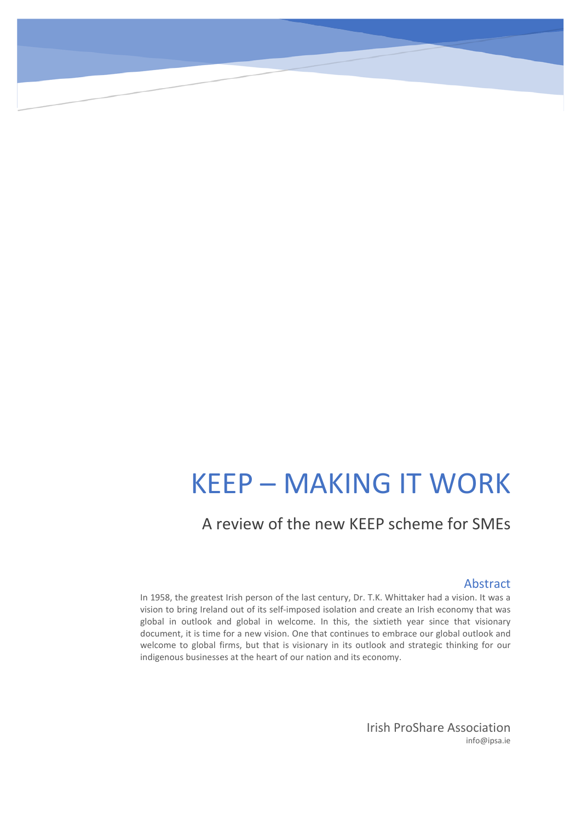# KEEP – MAKING IT WORK

# A review of the new KEEP scheme for SMEs

#### Abstract

In 1958, the greatest Irish person of the last century, Dr. T.K. Whittaker had a vision. It was a vision to bring Ireland out of its self-imposed isolation and create an Irish economy that was global in outlook and global in welcome. In this, the sixtieth year since that visionary document, it is time for a new vision. One that continues to embrace our global outlook and welcome to global firms, but that is visionary in its outlook and strategic thinking for our indigenous businesses at the heart of our nation and its economy.

> Irish ProShare Association info@ipsa.ie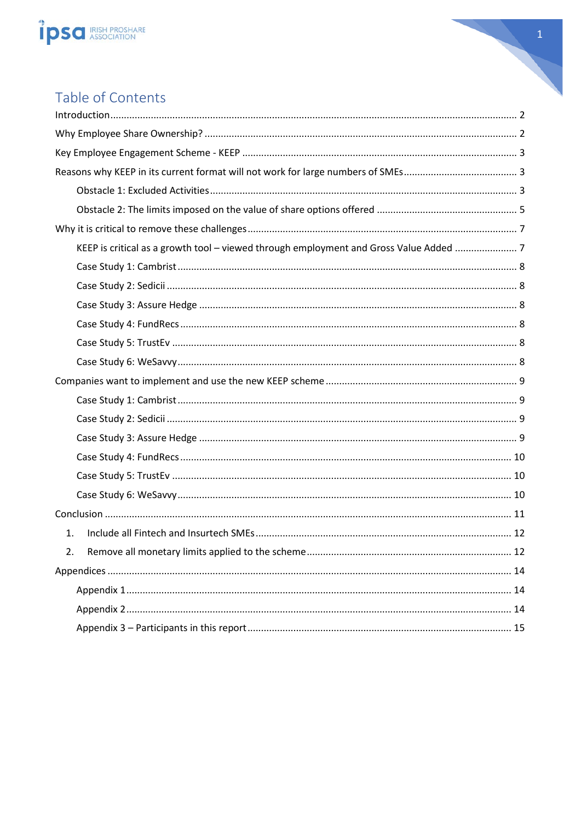



# Table of Contents

| KEEP is critical as a growth tool - viewed through employment and Gross Value Added  7 |  |
|----------------------------------------------------------------------------------------|--|
|                                                                                        |  |
|                                                                                        |  |
|                                                                                        |  |
|                                                                                        |  |
|                                                                                        |  |
|                                                                                        |  |
|                                                                                        |  |
|                                                                                        |  |
|                                                                                        |  |
|                                                                                        |  |
|                                                                                        |  |
|                                                                                        |  |
|                                                                                        |  |
|                                                                                        |  |
| 1.                                                                                     |  |
| 2.                                                                                     |  |
|                                                                                        |  |
|                                                                                        |  |
|                                                                                        |  |
|                                                                                        |  |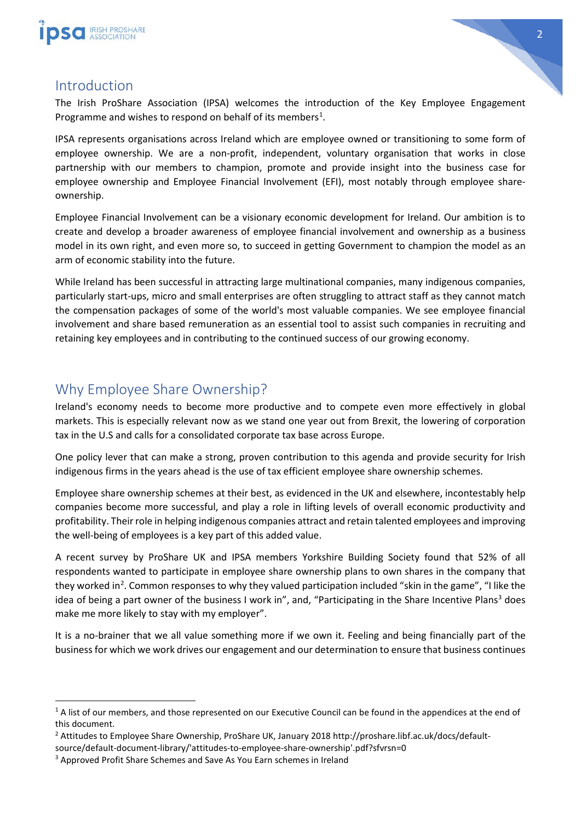



### <span id="page-2-0"></span>Introduction

The Irish ProShare Association (IPSA) welcomes the introduction of the Key Employee Engagement Programme and wishes to respond on behalf of its members<sup>[1](#page-2-2)</sup>.

IPSA represents organisations across Ireland which are employee owned or transitioning to some form of employee ownership. We are a non-profit, independent, voluntary organisation that works in close partnership with our members to champion, promote and provide insight into the business case for employee ownership and Employee Financial Involvement (EFI), most notably through employee shareownership.

Employee Financial Involvement can be a visionary economic development for Ireland. Our ambition is to create and develop a broader awareness of employee financial involvement and ownership as a business model in its own right, and even more so, to succeed in getting Government to champion the model as an arm of economic stability into the future.

While Ireland has been successful in attracting large multinational companies, many indigenous companies, particularly start-ups, micro and small enterprises are often struggling to attract staff as they cannot match the compensation packages of some of the world's most valuable companies. We see employee financial involvement and share based remuneration as an essential tool to assist such companies in recruiting and retaining key employees and in contributing to the continued success of our growing economy.

# <span id="page-2-1"></span>Why Employee Share Ownership?

Ireland's economy needs to become more productive and to compete even more effectively in global markets. This is especially relevant now as we stand one year out from Brexit, the lowering of corporation tax in the U.S and calls for a consolidated corporate tax base across Europe.

One policy lever that can make a strong, proven contribution to this agenda and provide security for Irish indigenous firms in the years ahead is the use of tax efficient employee share ownership schemes.

Employee share ownership schemes at their best, as evidenced in the UK and elsewhere, incontestably help companies become more successful, and play a role in lifting levels of overall economic productivity and profitability. Their role in helping indigenous companies attract and retain talented employees and improving the well-being of employees is a key part of this added value.

A recent survey by ProShare UK and IPSA members Yorkshire Building Society found that 52% of all respondents wanted to participate in employee share ownership plans to own shares in the company that they worked in<sup>[2](#page-2-3)</sup>. Common responses to why they valued participation included "skin in the game", "I like the idea of being a part owner of the business I work in", and, "Participating in the Share Incentive Plans<sup>[3](#page-2-4)</sup> does make me more likely to stay with my employer".

It is a no-brainer that we all value something more if we own it. Feeling and being financially part of the business for which we work drives our engagement and our determination to ensure that business continues

<span id="page-2-2"></span><sup>&</sup>lt;sup>1</sup> A list of our members, and those represented on our Executive Council can be found in the appendices at the end of this document.

<span id="page-2-3"></span><sup>2</sup> Attitudes to Employee Share Ownership, ProShare UK, January 2018 http://proshare.libf.ac.uk/docs/default-

source/default-document-library/'attitudes-to-employee-share-ownership'.pdf?sfvrsn=0

<span id="page-2-4"></span><sup>&</sup>lt;sup>3</sup> Approved Profit Share Schemes and Save As You Earn schemes in Ireland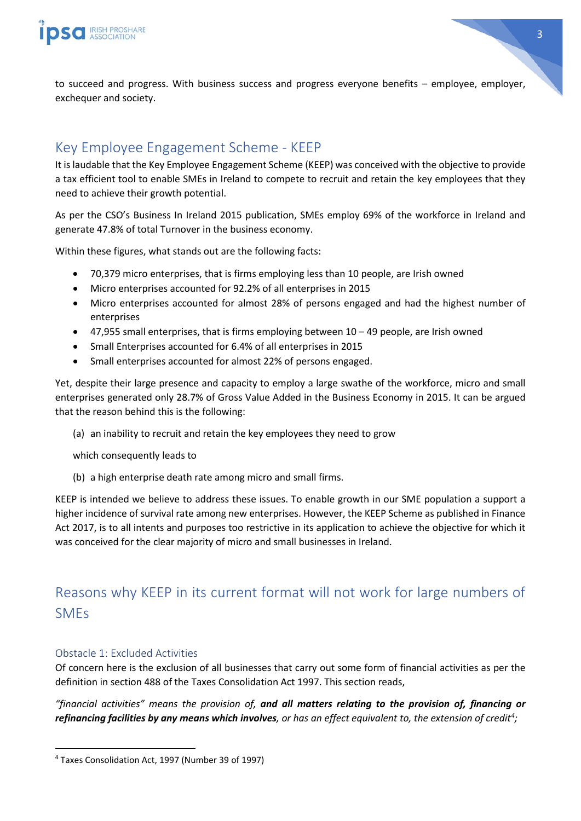

to succeed and progress. With business success and progress everyone benefits – employee, employer, exchequer and society.

# <span id="page-3-0"></span>Key Employee Engagement Scheme - KEEP

It is laudable that the Key Employee Engagement Scheme (KEEP) was conceived with the objective to provide a tax efficient tool to enable SMEs in Ireland to compete to recruit and retain the key employees that they need to achieve their growth potential.

As per the CSO's Business In Ireland 2015 publication, SMEs employ 69% of the workforce in Ireland and generate 47.8% of total Turnover in the business economy.

Within these figures, what stands out are the following facts:

- 70,379 micro enterprises, that is firms employing less than 10 people, are Irish owned
- Micro enterprises accounted for 92.2% of all enterprises in 2015
- Micro enterprises accounted for almost 28% of persons engaged and had the highest number of enterprises
- 47,955 small enterprises, that is firms employing between 10 49 people, are Irish owned
- Small Enterprises accounted for 6.4% of all enterprises in 2015
- Small enterprises accounted for almost 22% of persons engaged.

Yet, despite their large presence and capacity to employ a large swathe of the workforce, micro and small enterprises generated only 28.7% of Gross Value Added in the Business Economy in 2015. It can be argued that the reason behind this is the following:

(a) an inability to recruit and retain the key employees they need to grow

which consequently leads to

(b) a high enterprise death rate among micro and small firms.

KEEP is intended we believe to address these issues. To enable growth in our SME population a support a higher incidence of survival rate among new enterprises. However, the KEEP Scheme as published in Finance Act 2017, is to all intents and purposes too restrictive in its application to achieve the objective for which it was conceived for the clear majority of micro and small businesses in Ireland.

# <span id="page-3-1"></span>Reasons why KEEP in its current format will not work for large numbers of SMEs

#### <span id="page-3-2"></span>Obstacle 1: Excluded Activities

Of concern here is the exclusion of all businesses that carry out some form of financial activities as per the definition in section 488 of the Taxes Consolidation Act 1997. This section reads,

*"financial activities" means the provision of, and all matters relating to the provision of, financing or refinancing facilities by any means which involves, or has an effect equivalent to, the extension of credit[4](#page-3-3) ;*

<span id="page-3-3"></span> <sup>4</sup> Taxes Consolidation Act, 1997 (Number 39 of 1997)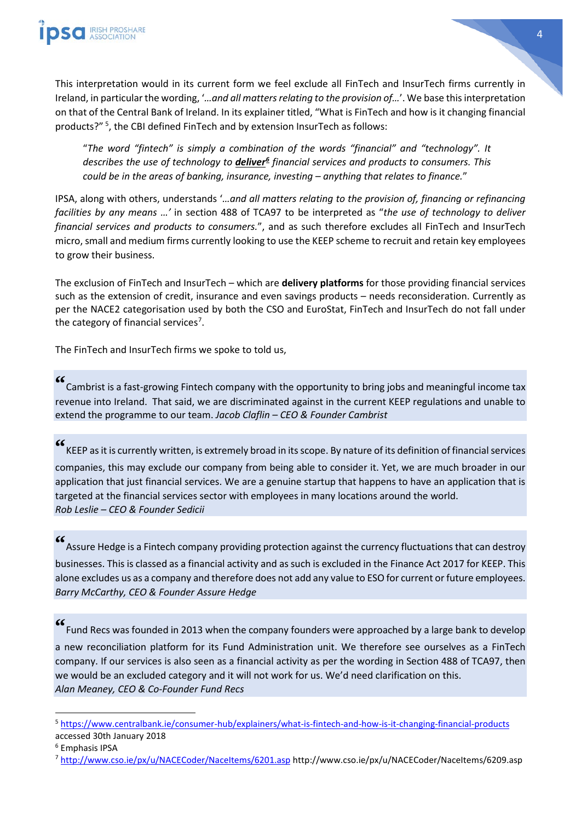



"*The word "fintech" is simply a combination of the words "financial" and "technology". It describes the use of technology to deliver[6](#page-4-1) financial services and products to consumers. This could be in the areas of banking, insurance, investing – anything that relates to finance.*"

IPSA, along with others, understands '*…and all matters relating to the provision of, financing or refinancing facilities by any means …'* in section 488 of TCA97 to be interpreted as "*the use of technology to deliver financial services and products to consumers.*", and as such therefore excludes all FinTech and InsurTech micro, small and medium firms currently looking to use the KEEP scheme to recruit and retain key employees to grow their business.

The exclusion of FinTech and InsurTech – which are **delivery platforms** for those providing financial services such as the extension of credit, insurance and even savings products – needs reconsideration. Currently as per the NACE2 categorisation used by both the CSO and EuroStat, FinTech and InsurTech do not fall under the category of financial services<sup>[7](#page-4-2)</sup>.

The FinTech and InsurTech firms we spoke to told us,

**"** Cambrist is a fast-growing Fintech company with the opportunity to bring jobs and meaningful income tax revenue into Ireland. That said, we are discriminated against in the current KEEP regulations and unable to extend the programme to our team. *Jacob Claflin – CEO & Founder Cambrist*

**"** KEEP as it is currently written, is extremely broad in its scope. By nature of its definition of financial services companies, this may exclude our company from being able to consider it. Yet, we are much broader in our application that just financial services. We are a genuine startup that happens to have an application that is targeted at the financial services sector with employees in many locations around the world. *Rob Leslie – CEO & Founder Sedicii*

**"** Assure Hedge is a Fintech company providing protection against the currency fluctuations that can destroy businesses. This is classed as a financial activity and as such is excluded in the Finance Act 2017 for KEEP. This alone excludes us as a company and therefore does not add any value to ESO for current or future employees. *Barry McCarthy, CEO & Founder Assure Hedge*

**"** Fund Recs was founded in 2013 when the company founders were approached by a large bank to develop a new reconciliation platform for its Fund Administration unit. We therefore see ourselves as a FinTech company. If our services is also seen as a financial activity as per the wording in Section 488 of TCA97, then we would be an excluded category and it will not work for us. We'd need clarification on this. *Alan Meaney, CEO & Co-Founder Fund Recs*

<span id="page-4-0"></span> <sup>5</sup> <https://www.centralbank.ie/consumer-hub/explainers/what-is-fintech-and-how-is-it-changing-financial-products> accessed 30th January 2018

<span id="page-4-1"></span><sup>6</sup> Emphasis IPSA

<span id="page-4-2"></span><sup>7</sup> <http://www.cso.ie/px/u/NACECoder/NaceItems/6201.asp> http://www.cso.ie/px/u/NACECoder/NaceItems/6209.asp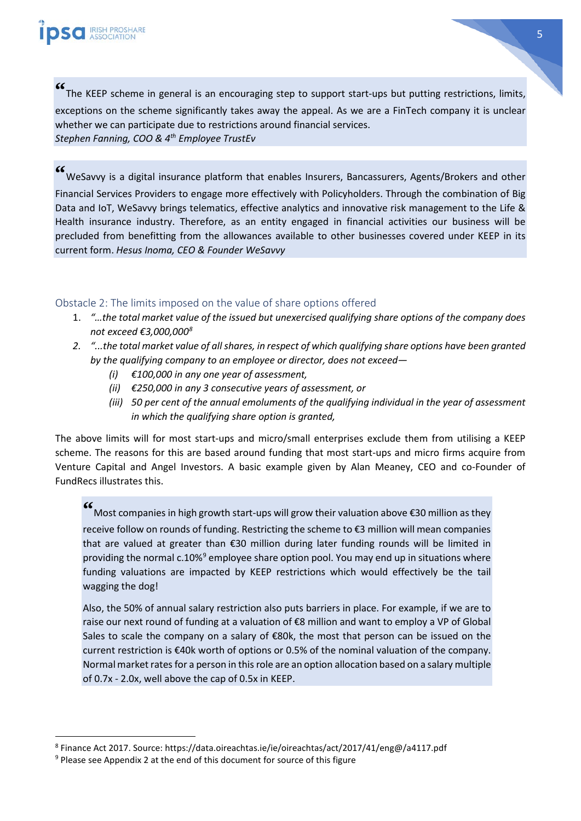**"** The KEEP scheme in general is an encouraging step to support start-ups but putting restrictions, limits, exceptions on the scheme significantly takes away the appeal. As we are a FinTech company it is unclear whether we can participate due to restrictions around financial services. *Stephen Fanning, COO & 4th Employee TrustEv*

**"** WeSavvy is a digital insurance platform that enables Insurers, Bancassurers, Agents/Brokers and other Financial Services Providers to engage more effectively with Policyholders. Through the combination of Big Data and IoT, WeSavvy brings telematics, effective analytics and innovative risk management to the Life & Health insurance industry. Therefore, as an entity engaged in financial activities our business will be precluded from benefitting from the allowances available to other businesses covered under KEEP in its current form. *Hesus Inoma, CEO & Founder WeSavvy*

#### <span id="page-5-0"></span>Obstacle 2: The limits imposed on the value of share options offered

- 1. *"…the total market value of the issued but unexercised qualifying share options of the company does not exceed €3,000,000[8](#page-5-1)*
- *2. "...the total market value of all shares, in respect of which qualifying share options have been granted by the qualifying company to an employee or director, does not exceed—*
	- *(i) €100,000 in any one year of assessment,*
	- *(ii) €250,000 in any 3 consecutive years of assessment, or*
	- *(iii) 50 per cent of the annual emoluments of the qualifying individual in the year of assessment in which the qualifying share option is granted,*

The above limits will for most start-ups and micro/small enterprises exclude them from utilising a KEEP scheme. The reasons for this are based around funding that most start-ups and micro firms acquire from Venture Capital and Angel Investors. A basic example given by Alan Meaney, CEO and co-Founder of FundRecs illustrates this.

**"** Most companies in high growth start-ups will grow their valuation above €30 million as they receive follow on rounds of funding. Restricting the scheme to €3 million will mean companies that are valued at greater than €30 million during later funding rounds will be limited in providing the normal c.10%<sup>[9](#page-5-2)</sup> employee share option pool. You may end up in situations where funding valuations are impacted by KEEP restrictions which would effectively be the tail wagging the dog!

Also, the 50% of annual salary restriction also puts barriers in place. For example, if we are to raise our next round of funding at a valuation of €8 million and want to employ a VP of Global Sales to scale the company on a salary of €80k, the most that person can be issued on the current restriction is €40k worth of options or 0.5% of the nominal valuation of the company. Normal market rates for a person in this role are an option allocation based on a salary multiple of 0.7x - 2.0x, well above the cap of 0.5x in KEEP.

<span id="page-5-1"></span> <sup>8</sup> Finance Act 2017. Source: https://data.oireachtas.ie/ie/oireachtas/act/2017/41/eng@/a4117.pdf

<span id="page-5-2"></span><sup>&</sup>lt;sup>9</sup> Please see Appendix 2 at the end of this document for source of this figure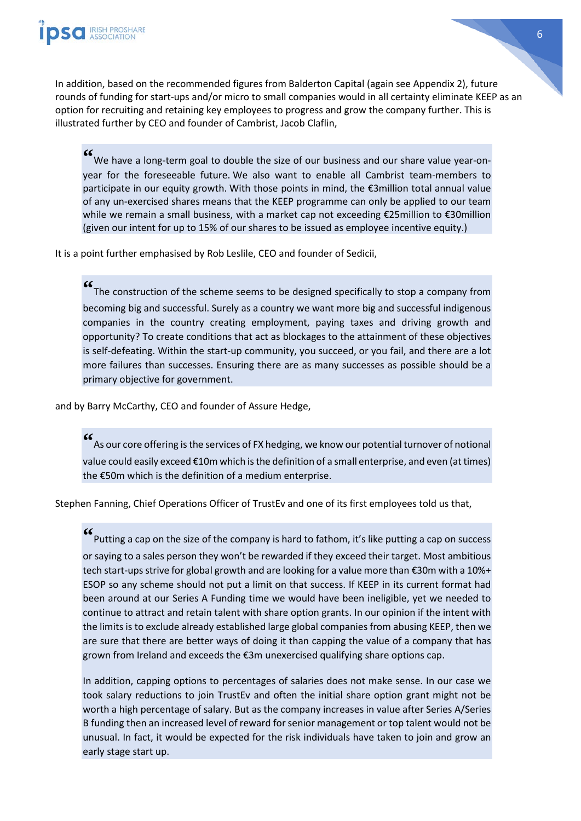

In addition, based on the recommended figures from Balderton Capital (again see Appendix 2), future rounds of funding for start-ups and/or micro to small companies would in all certainty eliminate KEEP as an option for recruiting and retaining key employees to progress and grow the company further. This is illustrated further by CEO and founder of Cambrist, Jacob Claflin,

**"** We have a long-term goal to double the size of our business and our share value year-onyear for the foreseeable future. We also want to enable all Cambrist team-members to participate in our equity growth. With those points in mind, the €3million total annual value of any un-exercised shares means that the KEEP programme can only be applied to our team while we remain a small business, with a market cap not exceeding €25million to €30million (given our intent for up to 15% of our shares to be issued as employee incentive equity.)

It is a point further emphasised by Rob Leslile, CEO and founder of Sedicii,

**"** The construction of the scheme seems to be designed specifically to stop a company from becoming big and successful. Surely as a country we want more big and successful indigenous companies in the country creating employment, paying taxes and driving growth and opportunity? To create conditions that act as blockages to the attainment of these objectives is self-defeating. Within the start-up community, you succeed, or you fail, and there are a lot more failures than successes. Ensuring there are as many successes as possible should be a primary objective for government.

and by Barry McCarthy, CEO and founder of Assure Hedge,

**"** As our core offering is the services of FX hedging, we know our potential turnover of notional value could easily exceed €10m which is the definition of a small enterprise, and even (at times) the €50m which is the definition of a medium enterprise.

Stephen Fanning, Chief Operations Officer of TrustEv and one of its first employees told us that,

**"** Putting a cap on the size of the company is hard to fathom, it's like putting a cap on success or saying to a sales person they won't be rewarded if they exceed their target. Most ambitious tech start-ups strive for global growth and are looking for a value more than €30m with a 10%+ ESOP so any scheme should not put a limit on that success. If KEEP in its current format had been around at our Series A Funding time we would have been ineligible, yet we needed to continue to attract and retain talent with share option grants. In our opinion if the intent with the limits is to exclude already established large global companies from abusing KEEP, then we are sure that there are better ways of doing it than capping the value of a company that has grown from Ireland and exceeds the €3m unexercised qualifying share options cap.

In addition, capping options to percentages of salaries does not make sense. In our case we took salary reductions to join TrustEv and often the initial share option grant might not be worth a high percentage of salary. But as the company increases in value after Series A/Series B funding then an increased level of reward for senior management or top talent would not be unusual. In fact, it would be expected for the risk individuals have taken to join and grow an early stage start up.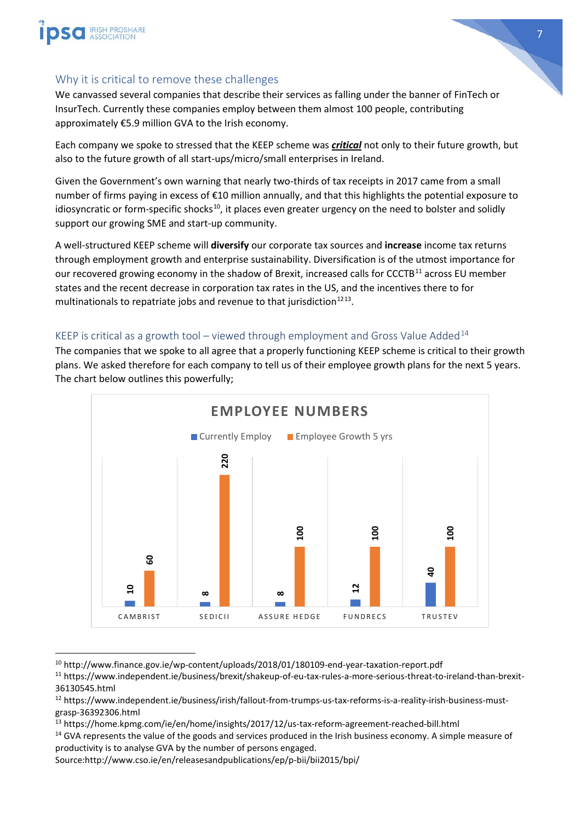



### <span id="page-7-0"></span>Why it is critical to remove these challenges

We canvassed several companies that describe their services as falling under the banner of FinTech or InsurTech. Currently these companies employ between them almost 100 people, contributing approximately €5.9 million GVA to the Irish economy.

Each company we spoke to stressed that the KEEP scheme was *critical* not only to their future growth, but also to the future growth of all start-ups/micro/small enterprises in Ireland.

Given the Government's own warning that nearly two-thirds of tax receipts in 2017 came from a small number of firms paying in excess of €10 million annually, and that this highlights the potential exposure to idiosyncratic or form-specific shocks<sup>10</sup>, it places even greater urgency on the need to bolster and solidly support our growing SME and start-up community.

A well-structured KEEP scheme will **diversify** our corporate tax sources and **increase** income tax returns through employment growth and enterprise sustainability. Diversification is of the utmost importance for our recovered growing economy in the shadow of Brexit, increased calls for CCCTB<sup>[11](#page-7-3)</sup> across EU member states and the recent decrease in corporation tax rates in the US, and the incentives there to for multinationals to repatriate jobs and revenue to that jurisdiction $1213$  $1213$ .

### <span id="page-7-1"></span>KEEP is critical as a growth tool – viewed through employment and Gross Value Added<sup>[14](#page-7-6)</sup>

The companies that we spoke to all agree that a properly functioning KEEP scheme is critical to their growth plans. We asked therefore for each company to tell us of their employee growth plans for the next 5 years. The chart below outlines this powerfully;



<span id="page-7-2"></span> <sup>10</sup> http://www.finance.gov.ie/wp-content/uploads/2018/01/180109-end-year-taxation-report.pdf

<span id="page-7-3"></span><sup>11</sup> https://www.independent.ie/business/brexit/shakeup-of-eu-tax-rules-a-more-serious-threat-to-ireland-than-brexit-36130545.html

<span id="page-7-4"></span><sup>12</sup> https://www.independent.ie/business/irish/fallout-from-trumps-us-tax-reforms-is-a-reality-irish-business-mustgrasp-36392306.html

<span id="page-7-5"></span><sup>13</sup> https://home.kpmg.com/ie/en/home/insights/2017/12/us-tax-reform-agreement-reached-bill.html

<span id="page-7-6"></span><sup>&</sup>lt;sup>14</sup> GVA represents the value of the goods and services produced in the Irish business economy. A simple measure of productivity is to analyse GVA by the number of persons engaged.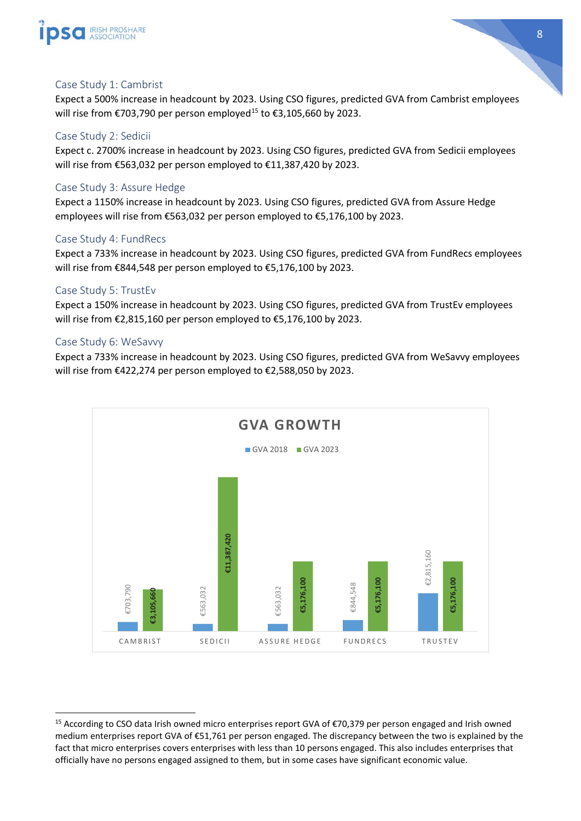



### <span id="page-8-0"></span>Case Study 1: Cambrist

Expect a 500% increase in headcount by 2023. Using CSO figures, predicted GVA from Cambrist employees will rise from €703,790 per person employed<sup>[15](#page-8-6)</sup> to €3,105,660 by 2023.

#### <span id="page-8-1"></span>Case Study 2: Sedicii

Expect c. 2700% increase in headcount by 2023. Using CSO figures, predicted GVA from Sedicii employees will rise from €563,032 per person employed to €11,387,420 by 2023.

#### <span id="page-8-2"></span>Case Study 3: Assure Hedge

Expect a 1150% increase in headcount by 2023. Using CSO figures, predicted GVA from Assure Hedge employees will rise from €563,032 per person employed to €5,176,100 by 2023.

#### <span id="page-8-3"></span>Case Study 4: FundRecs

Expect a 733% increase in headcount by 2023. Using CSO figures, predicted GVA from FundRecs employees will rise from €844,548 per person employed to €5,176,100 by 2023.

#### <span id="page-8-4"></span>Case Study 5: TrustEv

Expect a 150% increase in headcount by 2023. Using CSO figures, predicted GVA from TrustEv employees will rise from €2,815,160 per person employed to €5,176,100 by 2023.

#### <span id="page-8-5"></span>Case Study 6: WeSavvy

Expect a 733% increase in headcount by 2023. Using CSO figures, predicted GVA from WeSavvy employees will rise from €422,274 per person employed to €2,588,050 by 2023.



<span id="page-8-6"></span> <sup>15</sup> According to CSO data Irish owned micro enterprises report GVA of €70,379 per person engaged and Irish owned medium enterprises report GVA of €51,761 per person engaged. The discrepancy between the two is explained by the fact that micro enterprises covers enterprises with less than 10 persons engaged. This also includes enterprises that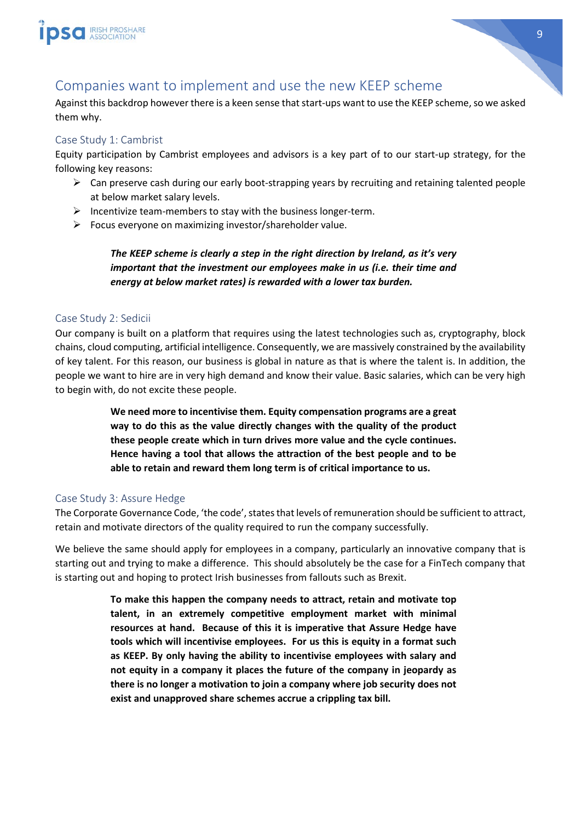

# <span id="page-9-0"></span>Companies want to implement and use the new KEEP scheme

Against this backdrop however there is a keen sense that start-ups want to use the KEEP scheme, so we asked them why.

#### <span id="page-9-1"></span>Case Study 1: Cambrist

Equity participation by Cambrist employees and advisors is a key part of to our start-up strategy, for the following key reasons:

- $\triangleright$  Can preserve cash during our early boot-strapping years by recruiting and retaining talented people at below market salary levels.
- $\triangleright$  Incentivize team-members to stay with the business longer-term.
- $\triangleright$  Focus everyone on maximizing investor/shareholder value.

*The KEEP scheme is clearly a step in the right direction by Ireland, as it's very important that the investment our employees make in us (i.e. their time and energy at below market rates) is rewarded with a lower tax burden.* 

#### <span id="page-9-2"></span>Case Study 2: Sedicii

Our company is built on a platform that requires using the latest technologies such as, cryptography, block chains, cloud computing, artificial intelligence. Consequently, we are massively constrained by the availability of key talent. For this reason, our business is global in nature as that is where the talent is. In addition, the people we want to hire are in very high demand and know their value. Basic salaries, which can be very high to begin with, do not excite these people.

> **We need more to incentivise them. Equity compensation programs are a great way to do this as the value directly changes with the quality of the product these people create which in turn drives more value and the cycle continues. Hence having a tool that allows the attraction of the best people and to be able to retain and reward them long term is of critical importance to us.**

#### <span id="page-9-3"></span>Case Study 3: Assure Hedge

The Corporate Governance Code, 'the code', states that levels of remuneration should be sufficient to attract, retain and motivate directors of the quality required to run the company successfully.

We believe the same should apply for employees in a company, particularly an innovative company that is starting out and trying to make a difference. This should absolutely be the case for a FinTech company that is starting out and hoping to protect Irish businesses from fallouts such as Brexit.

> **To make this happen the company needs to attract, retain and motivate top talent, in an extremely competitive employment market with minimal resources at hand. Because of this it is imperative that Assure Hedge have tools which will incentivise employees. For us this is equity in a format such as KEEP. By only having the ability to incentivise employees with salary and not equity in a company it places the future of the company in jeopardy as there is no longer a motivation to join a company where job security does not exist and unapproved share schemes accrue a crippling tax bill.**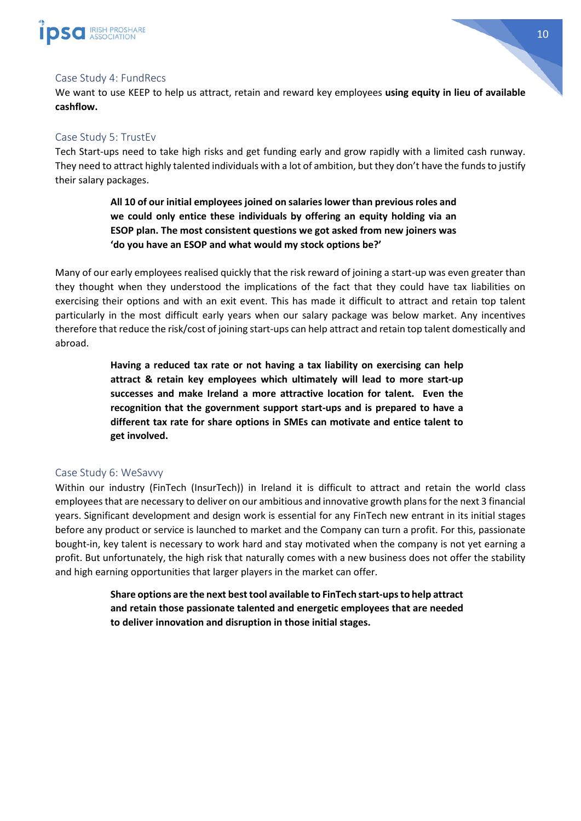

#### <span id="page-10-0"></span>Case Study 4: FundRecs

We want to use KEEP to help us attract, retain and reward key employees **using equity in lieu of available cashflow.**

#### <span id="page-10-1"></span>Case Study 5: TrustEv

Tech Start-ups need to take high risks and get funding early and grow rapidly with a limited cash runway. They need to attract highly talented individuals with a lot of ambition, but they don't have the funds to justify their salary packages.

> **All 10 of our initial employees joined on salaries lower than previous roles and we could only entice these individuals by offering an equity holding via an ESOP plan. The most consistent questions we got asked from new joiners was 'do you have an ESOP and what would my stock options be?'**

Many of our early employees realised quickly that the risk reward of joining a start-up was even greater than they thought when they understood the implications of the fact that they could have tax liabilities on exercising their options and with an exit event. This has made it difficult to attract and retain top talent particularly in the most difficult early years when our salary package was below market. Any incentives therefore that reduce the risk/cost of joining start-ups can help attract and retain top talent domestically and abroad.

> **Having a reduced tax rate or not having a tax liability on exercising can help attract & retain key employees which ultimately will lead to more start-up successes and make Ireland a more attractive location for talent. Even the recognition that the government support start-ups and is prepared to have a different tax rate for share options in SMEs can motivate and entice talent to get involved.**

#### <span id="page-10-2"></span>Case Study 6: WeSavvy

Within our industry (FinTech (InsurTech)) in Ireland it is difficult to attract and retain the world class employees that are necessary to deliver on our ambitious and innovative growth plans for the next 3 financial years. Significant development and design work is essential for any FinTech new entrant in its initial stages before any product or service is launched to market and the Company can turn a profit. For this, passionate bought-in, key talent is necessary to work hard and stay motivated when the company is not yet earning a profit. But unfortunately, the high risk that naturally comes with a new business does not offer the stability and high earning opportunities that larger players in the market can offer.

> **Share options are the next best tool available to FinTech start-ups to help attract and retain those passionate talented and energetic employees that are needed to deliver innovation and disruption in those initial stages.**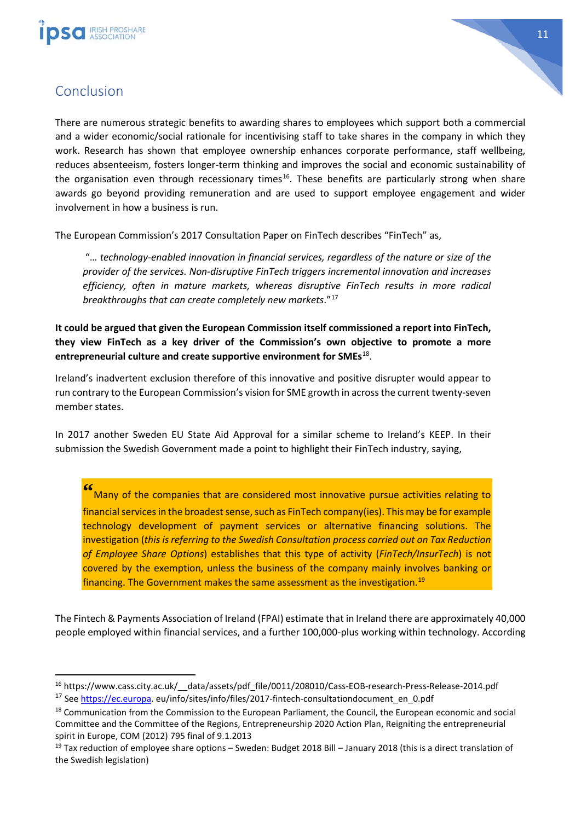



# <span id="page-11-0"></span>Conclusion

There are numerous strategic benefits to awarding shares to employees which support both a commercial and a wider economic/social rationale for incentivising staff to take shares in the company in which they work. Research has shown that employee ownership enhances corporate performance, staff wellbeing, reduces absenteeism, fosters longer-term thinking and improves the social and economic sustainability of the organisation even through recessionary times<sup>16</sup>. These benefits are particularly strong when share awards go beyond providing remuneration and are used to support employee engagement and wider involvement in how a business is run.

The European Commission's 2017 Consultation Paper on FinTech describes "FinTech" as,

"… *technology-enabled innovation in financial services, regardless of the nature or size of the provider of the services. Non-disruptive FinTech triggers incremental innovation and increases efficiency, often in mature markets, whereas disruptive FinTech results in more radical breakthroughs that can create completely new markets*."[17](#page-11-2)

**It could be argued that given the European Commission itself commissioned a report into FinTech, they view FinTech as a key driver of the Commission's own objective to promote a more entrepreneurial culture and create supportive environment for SMEs**[18](#page-11-3).

Ireland's inadvertent exclusion therefore of this innovative and positive disrupter would appear to run contrary to the European Commission's vision for SME growth in across the current twenty-seven member states.

In 2017 another Sweden EU State Aid Approval for a similar scheme to Ireland's KEEP. In their submission the Swedish Government made a point to highlight their FinTech industry, saying,

**"** Many of the companies that are considered most innovative pursue activities relating to financial services in the broadest sense, such as FinTech company(ies). This may be for example technology development of payment services or alternative financing solutions. The investigation (*this is referring to the Swedish Consultation process carried out on Tax Reduction of Employee Share Options*) establishes that this type of activity (*FinTech/InsurTech*) is not covered by the exemption, unless the business of the company mainly involves banking or financing. The Government makes the same assessment as the investigation.<sup>[19](#page-11-4)</sup>

The Fintech & Payments Association of Ireland (FPAI) estimate that in Ireland there are approximately 40,000 people employed within financial services, and a further 100,000-plus working within technology. According

<span id="page-11-1"></span><sup>&</sup>lt;sup>16</sup> https://www.cass.city.ac.uk/ data/assets/pdf file/0011/208010/Cass-EOB-research-Press-Release-2014.pdf

<span id="page-11-2"></span><sup>&</sup>lt;sup>17</sup> See [https://ec.europa.](https://ec.europa/) eu/info/sites/info/files/2017-fintech-consultationdocument\_en\_0.pdf

<span id="page-11-3"></span><sup>&</sup>lt;sup>18</sup> Communication from the Commission to the European Parliament, the Council, the European economic and social Committee and the Committee of the Regions, Entrepreneurship 2020 Action Plan, Reigniting the entrepreneurial spirit in Europe, COM (2012) 795 final of 9.1.2013

<span id="page-11-4"></span><sup>&</sup>lt;sup>19</sup> Tax reduction of employee share options – Sweden: Budget 2018 Bill – January 2018 (this is a direct translation of the Swedish legislation)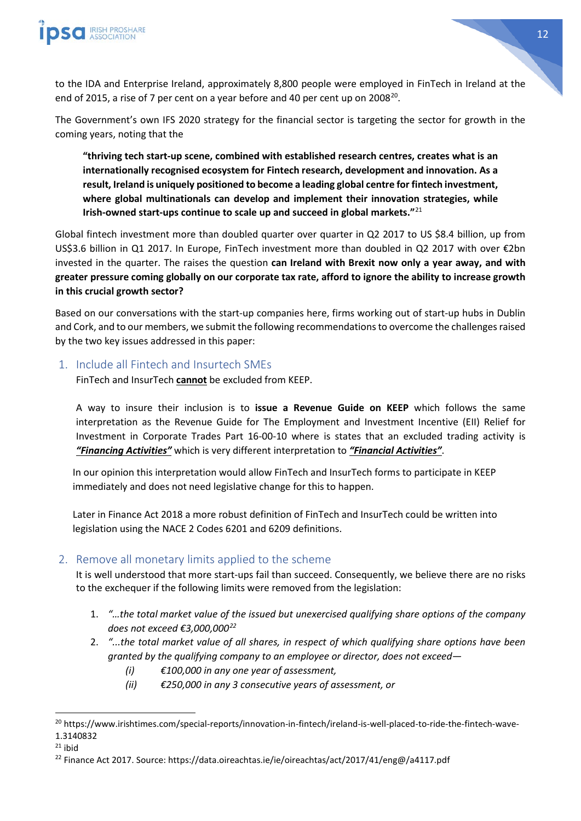

to the IDA and Enterprise Ireland, approximately 8,800 people were employed in FinTech in Ireland at the end of 2015, a rise of 7 per cent on a year before and 40 per cent up on  $2008^{20}$ .

The Government's own IFS 2020 strategy for the financial sector is targeting the sector for growth in the coming years, noting that the

**"thriving tech start-up scene, combined with established research centres, creates what is an internationally recognised ecosystem for Fintech research, development and innovation. As a result, Ireland is uniquely positioned to become a leading global centre for fintech investment, where global multinationals can develop and implement their innovation strategies, while Irish-owned start-ups continue to scale up and succeed in global markets."**[21](#page-12-3)

Global fintech investment more than doubled quarter over quarter in Q2 2017 to US \$8.4 billion, up from US\$3.6 billion in Q1 2017. In Europe, FinTech investment more than doubled in Q2 2017 with over €2bn invested in the quarter. The raises the question **can Ireland with Brexit now only a year away, and with greater pressure coming globally on our corporate tax rate, afford to ignore the ability to increase growth in this crucial growth sector?**

Based on our conversations with the start-up companies here, firms working out of start-up hubs in Dublin and Cork, and to our members, we submit the following recommendations to overcome the challenges raised by the two key issues addressed in this paper:

#### <span id="page-12-0"></span>1. Include all Fintech and Insurtech SMEs

FinTech and InsurTech **cannot** be excluded from KEEP.

A way to insure their inclusion is to **issue a Revenue Guide on KEEP** which follows the same interpretation as the Revenue Guide for The Employment and Investment Incentive (EII) Relief for Investment in Corporate Trades Part 16-00-10 where is states that an excluded trading activity is *"Financing Activities"* which is very different interpretation to *"Financial Activities"*.

In our opinion this interpretation would allow FinTech and InsurTech forms to participate in KEEP immediately and does not need legislative change for this to happen.

Later in Finance Act 2018 a more robust definition of FinTech and InsurTech could be written into legislation using the NACE 2 Codes 6201 and 6209 definitions.

#### <span id="page-12-1"></span>2. Remove all monetary limits applied to the scheme

It is well understood that more start-ups fail than succeed. Consequently, we believe there are no risks to the exchequer if the following limits were removed from the legislation:

- 1. *"…the total market value of the issued but unexercised qualifying share options of the company does not exceed €3,000,000[22](#page-12-4)*
- 2. *"...the total market value of all shares, in respect of which qualifying share options have been granted by the qualifying company to an employee or director, does not exceed—*
	- *(i) €100,000 in any one year of assessment,*
	- *(ii) €250,000 in any 3 consecutive years of assessment, or*

<span id="page-12-2"></span><sup>&</sup>lt;sup>20</sup> https://www.irishtimes.com/special-reports/innovation-in-fintech/ireland-is-well-placed-to-ride-the-fintech-wave-1.3140832

<span id="page-12-3"></span> $21$  ibid

<span id="page-12-4"></span><sup>&</sup>lt;sup>22</sup> Finance Act 2017. Source: https://data.oireachtas.ie/ie/oireachtas/act/2017/41/eng@/a4117.pdf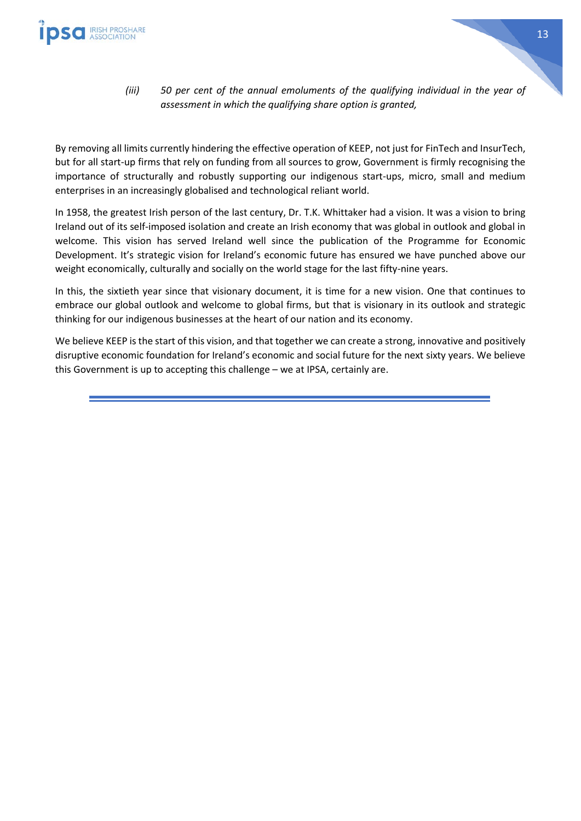

*(iii) 50 per cent of the annual emoluments of the qualifying individual in the year of assessment in which the qualifying share option is granted,*

By removing all limits currently hindering the effective operation of KEEP, not just for FinTech and InsurTech, but for all start-up firms that rely on funding from all sources to grow, Government is firmly recognising the importance of structurally and robustly supporting our indigenous start-ups, micro, small and medium enterprises in an increasingly globalised and technological reliant world.

In 1958, the greatest Irish person of the last century, Dr. T.K. Whittaker had a vision. It was a vision to bring Ireland out of its self-imposed isolation and create an Irish economy that was global in outlook and global in welcome. This vision has served Ireland well since the publication of the Programme for Economic Development. It's strategic vision for Ireland's economic future has ensured we have punched above our weight economically, culturally and socially on the world stage for the last fifty-nine years.

In this, the sixtieth year since that visionary document, it is time for a new vision. One that continues to embrace our global outlook and welcome to global firms, but that is visionary in its outlook and strategic thinking for our indigenous businesses at the heart of our nation and its economy.

We believe KEEP is the start of this vision, and that together we can create a strong, innovative and positively disruptive economic foundation for Ireland's economic and social future for the next sixty years. We believe this Government is up to accepting this challenge – we at IPSA, certainly are.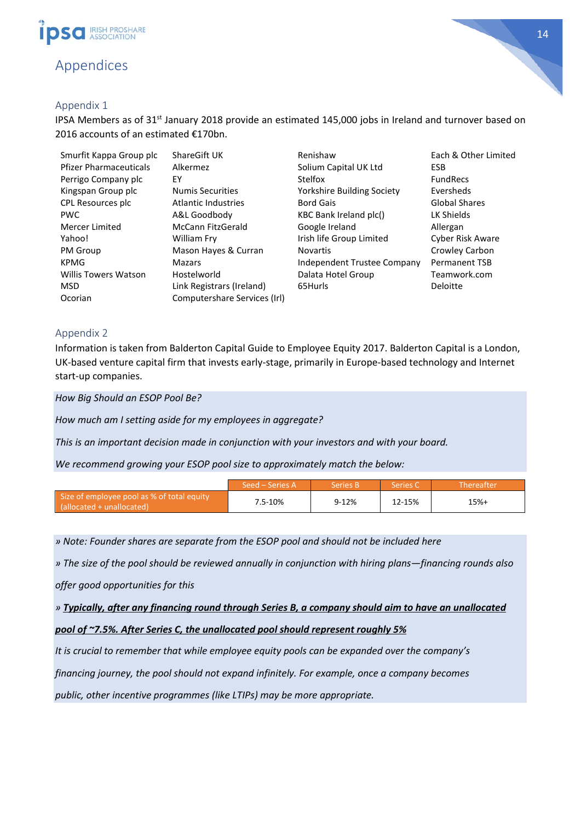

## <span id="page-14-0"></span>Appendices

#### <span id="page-14-1"></span>Appendix 1

IPSA Members as of 31<sup>st</sup> January 2018 provide an estimated 145,000 jobs in Ireland and turnover based on 2016 accounts of an estimated €170bn.

| Smurfit Kappa Group plc       | ShareGift UK                 | Renishaw                          | Each & Other Limited |
|-------------------------------|------------------------------|-----------------------------------|----------------------|
| <b>Pfizer Pharmaceuticals</b> | Alkermez                     | Solium Capital UK Ltd             | <b>ESB</b>           |
| Perrigo Company plc           | EY                           | Stelfox                           | <b>FundRecs</b>      |
| Kingspan Group plc            | <b>Numis Securities</b>      | <b>Yorkshire Building Society</b> | Eversheds            |
| CPL Resources plc             | <b>Atlantic Industries</b>   | <b>Bord Gais</b>                  | Global Shares        |
| <b>PWC</b>                    | A&L Goodbody                 | KBC Bank Ireland plc()            | LK Shields           |
| Mercer Limited                | McCann FitzGerald            | Google Ireland                    | Allergan             |
| Yahoo!                        | William Fry                  | Irish life Group Limited          | Cyber Risk Aware     |
| PM Group                      | Mason Hayes & Curran         | <b>Novartis</b>                   | Crowley Carbon       |
| <b>KPMG</b>                   | <b>Mazars</b>                | Independent Trustee Company       | <b>Permanent TSB</b> |
| <b>Willis Towers Watson</b>   | Hostelworld                  | Dalata Hotel Group                | Teamwork.com         |
| <b>MSD</b>                    | Link Registrars (Ireland)    | 65Hurls                           | Deloitte             |
| Ocorian                       | Computershare Services (Irl) |                                   |                      |

#### <span id="page-14-2"></span>Appendix 2

Information is taken from Balderton Capital Guide to Employee Equity 2017. Balderton Capital is a London, UK-based venture capital firm that invests early-stage, primarily in Europe-based technology and Internet start-up companies.

*How Big Should an ESOP Pool Be?*

*How much am I setting aside for my employees in aggregate?*

*This is an important decision made in conjunction with your investors and with your board.*

*We recommend growing your ESOP pool size to approximately match the below:*

|                                                                         | Seed – Series A | <b>Series R</b> | Series C | ' Thereafter |
|-------------------------------------------------------------------------|-----------------|-----------------|----------|--------------|
| Size of employee pool as % of total equity<br>(allocated + unallocated) | 7.5-10%         | 9-12%           | 12-15%   | $15%+$       |

*» Note: Founder shares are separate from the ESOP pool and should not be included here*

*» The size of the pool should be reviewed annually in conjunction with hiring plans—financing rounds also*

*offer good opportunities for this*

*» Typically, after any financing round through Series B, a company should aim to have an unallocated*

#### *pool of ~7.5%. After Series C, the unallocated pool should represent roughly 5%*

*It is crucial to remember that while employee equity pools can be expanded over the company's*

*financing journey, the pool should not expand infinitely. For example, once a company becomes*

*public, other incentive programmes (like LTIPs) may be more appropriate.*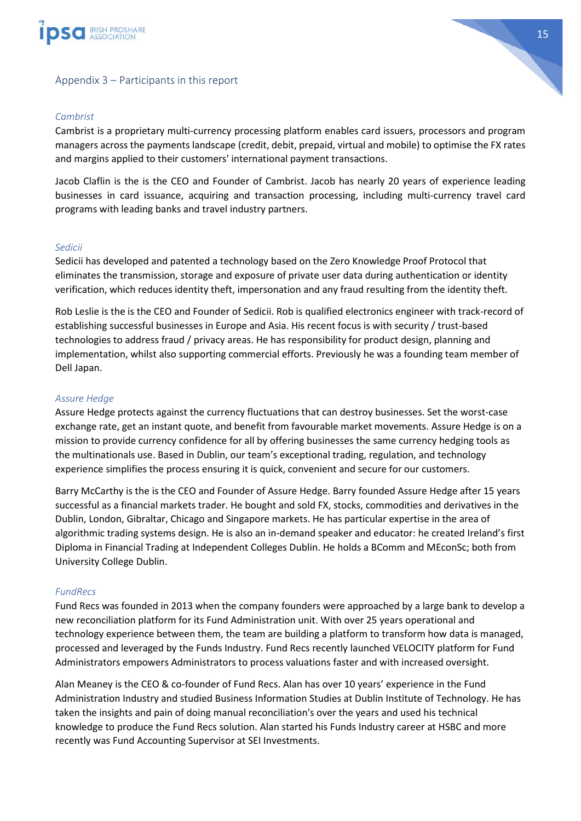

<span id="page-15-0"></span>

#### *Cambrist*

Cambrist is a proprietary multi-currency processing platform enables card issuers, processors and program managers across the payments landscape (credit, debit, prepaid, virtual and mobile) to optimise the FX rates and margins applied to their customers' international payment transactions.

Jacob Claflin is the is the CEO and Founder of Cambrist. Jacob has nearly 20 years of experience leading businesses in card issuance, acquiring and transaction processing, including multi-currency travel card programs with leading banks and travel industry partners.

#### *Sedicii*

Sedicii has developed and patented a technology based on the Zero Knowledge Proof Protocol that eliminates the transmission, storage and exposure of private user data during authentication or identity verification, which reduces identity theft, impersonation and any fraud resulting from the identity theft.

Rob Leslie is the is the CEO and Founder of Sedicii. Rob is qualified electronics engineer with track-record of establishing successful businesses in Europe and Asia. His recent focus is with security / trust-based technologies to address fraud / privacy areas. He has responsibility for product design, planning and implementation, whilst also supporting commercial efforts. Previously he was a founding team member of Dell Japan.

#### *Assure Hedge*

Assure Hedge protects against the currency fluctuations that can destroy businesses. Set the worst-case exchange rate, get an instant quote, and benefit from favourable market movements. Assure Hedge is on a mission to provide currency confidence for all by offering businesses the same currency hedging tools as the multinationals use. Based in Dublin, our team's exceptional trading, regulation, and technology experience simplifies the process ensuring it is quick, convenient and secure for our customers.

Barry McCarthy is the is the CEO and Founder of Assure Hedge. Barry founded Assure Hedge after 15 years successful as a financial markets trader. He bought and sold FX, stocks, commodities and derivatives in the Dublin, London, Gibraltar, Chicago and Singapore markets. He has particular expertise in the area of algorithmic trading systems design. He is also an in-demand speaker and educator: he created Ireland's first Diploma in Financial Trading at Independent Colleges Dublin. He holds a BComm and MEconSc; both from University College Dublin.

#### *FundRecs*

Fund Recs was founded in 2013 when the company founders were approached by a large bank to develop a new reconciliation platform for its Fund Administration unit. With over 25 years operational and technology experience between them, the team are building a platform to transform how data is managed, processed and leveraged by the Funds Industry. Fund Recs recently launched VELOCITY platform for Fund Administrators empowers Administrators to process valuations faster and with increased oversight.

Alan Meaney is the CEO & co-founder of Fund Recs. Alan has over 10 years' experience in the Fund Administration Industry and studied Business Information Studies at Dublin Institute of Technology. He has taken the insights and pain of doing manual reconciliation's over the years and used his technical knowledge to produce the Fund Recs solution. Alan started his Funds Industry career at HSBC and more recently was Fund Accounting Supervisor at SEI Investments.